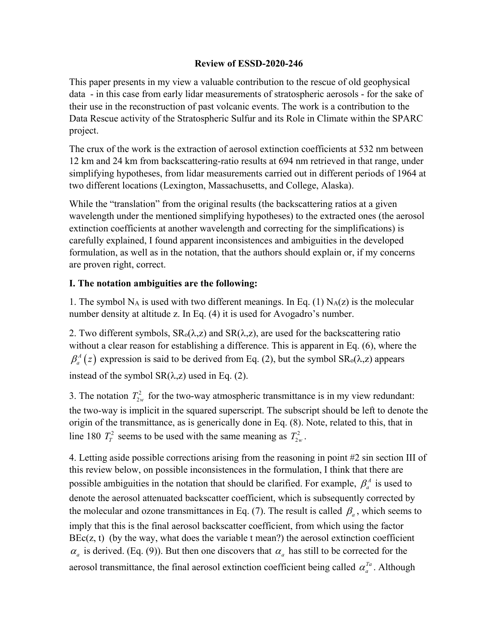## **Review of ESSD-2020-246**

This paper presents in my view a valuable contribution to the rescue of old geophysical data - in this case from early lidar measurements of stratospheric aerosols - for the sake of their use in the reconstruction of past volcanic events. The work is a contribution to the Data Rescue activity of the Stratospheric Sulfur and its Role in Climate within the SPARC project.

The crux of the work is the extraction of aerosol extinction coefficients at 532 nm between 12 km and 24 km from backscattering-ratio results at 694 nm retrieved in that range, under simplifying hypotheses, from lidar measurements carried out in different periods of 1964 at two different locations (Lexington, Massachusetts, and College, Alaska).

While the "translation" from the original results (the backscattering ratios at a given wavelength under the mentioned simplifying hypotheses) to the extracted ones (the aerosol extinction coefficients at another wavelength and correcting for the simplifications) is carefully explained, I found apparent inconsistences and ambiguities in the developed formulation, as well as in the notation, that the authors should explain or, if my concerns are proven right, correct.

## **I. The notation ambiguities are the following:**

1. The symbol  $N_A$  is used with two different meanings. In Eq. (1)  $N_A(z)$  is the molecular number density at altitude z. In Eq. (4) it is used for Avogadro's number.

2. Two different symbols,  $SR_0(\lambda, z)$  and  $SR(\lambda, z)$ , are used for the backscattering ratio without a clear reason for establishing a difference. This is apparent in Eq. (6), where the  $\beta_a^A(z)$  expression is said to be derived from Eq. (2), but the symbol SR<sub>o</sub>( $\lambda$ , $z$ ) appears instead of the symbol  $SR(\lambda, z)$  used in Eq. (2).

3. The notation  $T_{2w}^2$  for the two-way atmospheric transmittance is in my view redundant: the two-way is implicit in the squared superscript. The subscript should be left to denote the origin of the transmittance, as is generically done in Eq. (8). Note, related to this, that in line 180  $T_T^2$  seems to be used with the same meaning as  $T_{2w}^2$ .

4. Letting aside possible corrections arising from the reasoning in point #2 sin section III of this review below, on possible inconsistences in the formulation, I think that there are possible ambiguities in the notation that should be clarified. For example,  $\beta_a^A$  is used to denote the aerosol attenuated backscatter coefficient, which is subsequently corrected by the molecular and ozone transmittances in Eq. (7). The result is called  $\beta_a$ , which seems to imply that this is the final aerosol backscatter coefficient, from which using the factor  $BEc(z, t)$  (by the way, what does the variable t mean?) the aerosol extinction coefficient  $\alpha_a$  is derived. (Eq. (9)). But then one discovers that  $\alpha_a$  has still to be corrected for the aerosol transmittance, the final aerosol extinction coefficient being called  $\alpha_a^{Ta}$ . Although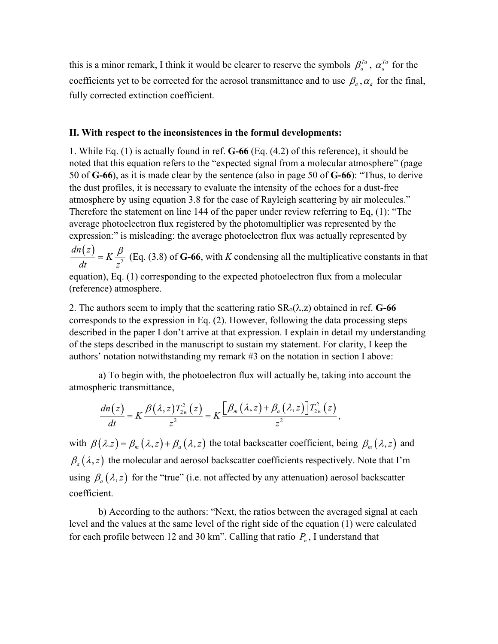this is a minor remark, I think it would be clearer to reserve the symbols  $\beta_a^{ra}$ ,  $\alpha_a^{ra}$  for the coefficients yet to be corrected for the aerosol transmittance and to use  $\beta_a$ ,  $\alpha_a$  for the final, fully corrected extinction coefficient.

## **II. With respect to the inconsistences in the formul developments:**

1. While Eq. (1) is actually found in ref. **G-66** (Eq. (4.2) of this reference), it should be noted that this equation refers to the "expected signal from a molecular atmosphere" (page 50 of **G-66**), as it is made clear by the sentence (also in page 50 of **G-66**): "Thus, to derive the dust profiles, it is necessary to evaluate the intensity of the echoes for a dust-free atmosphere by using equation 3.8 for the case of Rayleigh scattering by air molecules." Therefore the statement on line 144 of the paper under review referring to Eq, (1): "The average photoelectron flux registered by the photomultiplier was represented by the expression:" is misleading: the average photoelectron flux was actually represented by

 $(z)$ 2 *dn z K dt z*  $K = K \frac{\beta}{\beta}$  (Eq. (3.8) of **G-66**, with *K* condensing all the multiplicative constants in that

equation), Eq. (1) corresponding to the expected photoelectron flux from a molecular (reference) atmosphere.

2. The authors seem to imply that the scattering ratio  $SR_0(\lambda, z)$  obtained in ref. **G-66** corresponds to the expression in Eq. (2). However, following the data processing steps described in the paper I don't arrive at that expression. I explain in detail my understanding of the steps described in the manuscript to sustain my statement. For clarity, I keep the authors' notation notwithstanding my remark #3 on the notation in section I above:

a) To begin with, the photoelectron flux will actually be, taking into account the atmospheric transmittance,

$$
\frac{dn(z)}{dt}=K\frac{\beta(\lambda,z)T_{2w}^2(z)}{z^2}=K\frac{\left[\beta_m(\lambda,z)+\beta_a(\lambda,z)\right]T_{2w}^2(z)}{z^2},
$$

with  $\beta(\lambda z) = \beta_m(\lambda, z) + \beta_a(\lambda, z)$  the total backscatter coefficient, being  $\beta_m(\lambda, z)$  and  $\beta_a(\lambda, z)$  the molecular and aerosol backscatter coefficients respectively. Note that I'm using  $\beta_a(\lambda, z)$  for the "true" (i.e. not affected by any attenuation) aerosol backscatter coefficient.

b) According to the authors: "Next, the ratios between the averaged signal at each level and the values at the same level of the right side of the equation (1) were calculated for each profile between 12 and 30 km". Calling that ratio  $P_n$ , I understand that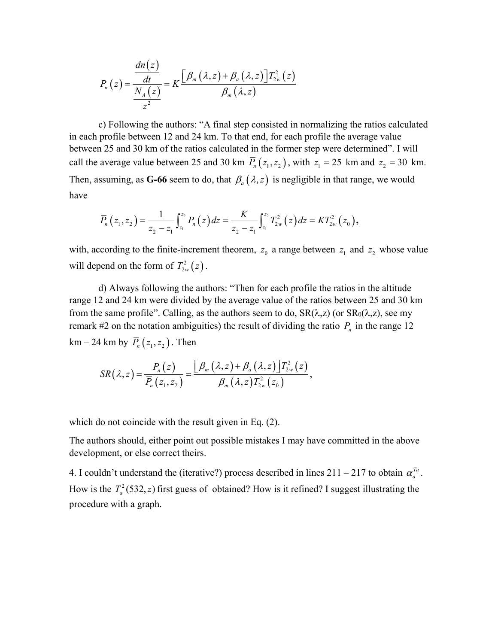$$
P_n(z) = \frac{\frac{dn(z)}{dt}}{\frac{N_A(z)}{z^2}} = K \frac{\left[\beta_m(\lambda,z) + \beta_a(\lambda,z)\right]T_{2w}^2(z)}{\beta_m(\lambda,z)}
$$

c) Following the authors: "A final step consisted in normalizing the ratios calculated in each profile between 12 and 24 km. To that end, for each profile the average value between 25 and 30 km of the ratios calculated in the former step were determined". I will call the average value between 25 and 30 km  $\overline{P}_n(z_1, z_2)$ , with  $z_1 = 25$  km and  $z_2 = 30$  km. Then, assuming, as G-66 seem to do, that  $\beta_a(\lambda, z)$  is negligible in that range, we would have

$$
\overline{P}_n(z_1, z_2) = \frac{1}{z_2 - z_1} \int_{z_1}^{z_2} P_n(z) dz = \frac{K}{z_2 - z_1} \int_{z_1}^{z_2} T_{2w}^2(z) dz = KT_{2w}^2(z_0),
$$

with, according to the finite-increment theorem,  $z_0$  a range between  $z_1$  and  $z_2$  whose value will depend on the form of  $T_{2w}^2(z)$ .

d) Always following the authors: "Then for each profile the ratios in the altitude range 12 and 24 km were divided by the average value of the ratios between 25 and 30 km from the same profile". Calling, as the authors seem to do,  $SR(\lambda, z)$  (or  $SR_0(\lambda, z)$ , see my remark #2 on the notation ambiguities) the result of dividing the ratio  $P_n$  in the range 12 km – 24 km by  $\overline{P}_n(z_1, z_2)$ . Then

$$
SR(\lambda, z) = \frac{P_n(z)}{\overline{P}_n(z_1, z_2)} = \frac{\left[\beta_m(\lambda, z) + \beta_a(\lambda, z)\right]T_{2w}^2(z)}{\beta_m(\lambda, z)T_{2w}^2(z_0)},
$$

which do not coincide with the result given in Eq. (2).

The authors should, either point out possible mistakes I may have committed in the above development, or else correct theirs.

4. I couldn't understand the (iterative?) process described in lines  $211 - 217$  to obtain  $\alpha_a^{Ta}$ . How is the  $T_a^2$  (532, *z*) first guess of obtained? How is it refined? I suggest illustrating the procedure with a graph.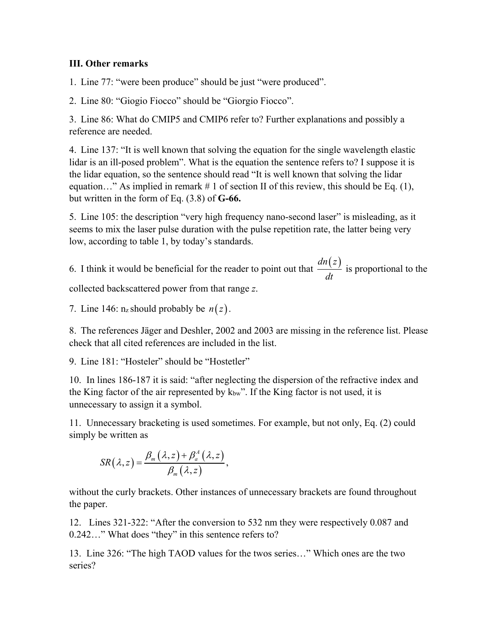## **III. Other remarks**

1. Line 77: "were been produce" should be just "were produced".

2. Line 80: "Giogio Fiocco" should be "Giorgio Fiocco".

3. Line 86: What do CMIP5 and CMIP6 refer to? Further explanations and possibly a reference are needed.

4. Line 137: "It is well known that solving the equation for the single wavelength elastic lidar is an ill-posed problem". What is the equation the sentence refers to? I suppose it is the lidar equation, so the sentence should read "It is well known that solving the lidar equation…" As implied in remark  $# 1$  of section II of this review, this should be Eq. (1), but written in the form of Eq. (3.8) of **G-66.**

5. Line 105: the description "very high frequency nano-second laser" is misleading, as it seems to mix the laser pulse duration with the pulse repetition rate, the latter being very low, according to table 1, by today's standards.

6. I think it would be beneficial for the reader to point out that *dn*(*z*)  $\frac{d(t-)}{dt}$  is proportional to the collected backscattered power from that range *z*.

7. Line 146:  $n_z$  should probably be  $n(z)$ .

8. The references Jäger and Deshler, 2002 and 2003 are missing in the reference list. Please check that all cited references are included in the list.

9. Line 181: "Hosteler" should be "Hostetler"

10. In lines 186-187 it is said: "after neglecting the dispersion of the refractive index and the King factor of the air represented by  $k_{bw}$ ". If the King factor is not used, it is unnecessary to assign it a symbol.

11. Unnecessary bracketing is used sometimes. For example, but not only, Eq. (2) could simply be written as

$$
SR(\lambda, z) = \frac{\beta_m(\lambda, z) + \beta_a^A(\lambda, z)}{\beta_m(\lambda, z)},
$$

without the curly brackets. Other instances of unnecessary brackets are found throughout the paper.

12. Lines 321-322: "After the conversion to 532 nm they were respectively 0.087 and 0.242…" What does "they" in this sentence refers to?

13. Line 326: "The high TAOD values for the twos series…" Which ones are the two series?